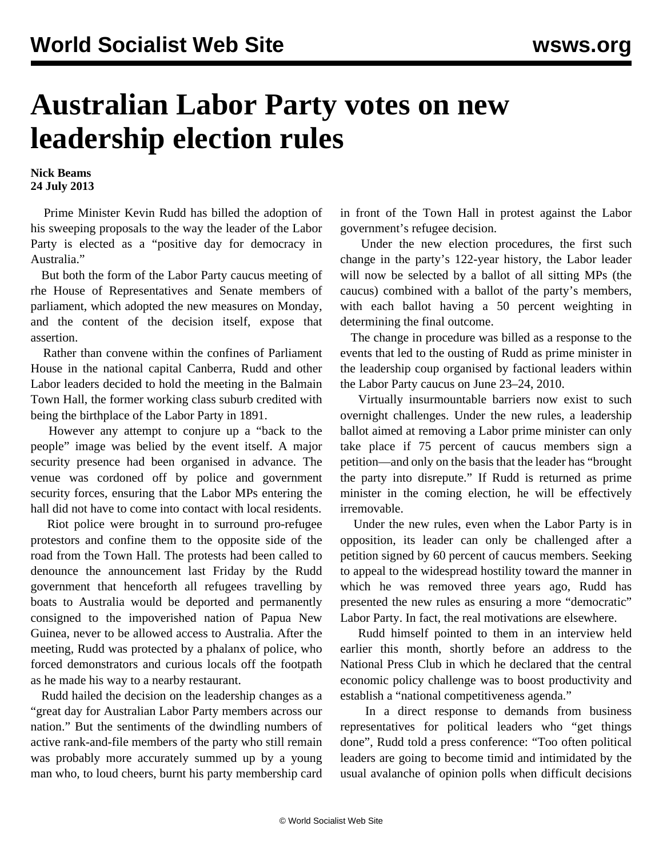## **Australian Labor Party votes on new leadership election rules**

**Nick Beams 24 July 2013**

 Prime Minister Kevin Rudd has billed the adoption of his sweeping proposals to the way the leader of the Labor Party is elected as a "positive day for democracy in Australia."

 But both the form of the Labor Party caucus meeting of rhe House of Representatives and Senate members of parliament, which adopted the new measures on Monday, and the content of the decision itself, expose that assertion.

 Rather than convene within the confines of Parliament House in the national capital Canberra, Rudd and other Labor leaders decided to hold the meeting in the Balmain Town Hall, the former working class suburb credited with being the birthplace of the Labor Party in 1891.

 However any attempt to conjure up a "back to the people" image was belied by the event itself. A major security presence had been organised in advance. The venue was cordoned off by police and government security forces, ensuring that the Labor MPs entering the hall did not have to come into contact with local residents.

 Riot police were brought in to surround pro-refugee protestors and confine them to the opposite side of the road from the Town Hall. The protests had been called to denounce the announcement last Friday by the Rudd government that henceforth all refugees travelling by boats to Australia would be deported and permanently consigned to the impoverished nation of Papua New Guinea, never to be allowed access to Australia. After the meeting, Rudd was protected by a phalanx of police, who forced demonstrators and curious locals off the footpath as he made his way to a nearby restaurant.

 Rudd hailed the decision on the leadership changes as a "great day for Australian Labor Party members across our nation." But the sentiments of the dwindling numbers of active rank-and-file members of the party who still remain was probably more accurately summed up by a young man who, to loud cheers, burnt his party membership card

in front of the Town Hall in protest against the Labor government's refugee decision.

 Under the new election procedures, the first such change in the party's 122-year history, the Labor leader will now be selected by a ballot of all sitting MPs (the caucus) combined with a ballot of the party's members, with each ballot having a 50 percent weighting in determining the final outcome.

 The change in procedure was billed as a response to the events that led to the ousting of Rudd as prime minister in the leadership coup organised by factional leaders within the Labor Party caucus on June 23–24, 2010.

 Virtually insurmountable barriers now exist to such overnight challenges. Under the new rules, a leadership ballot aimed at removing a Labor prime minister can only take place if 75 percent of caucus members sign a petition—and only on the basis that the leader has "brought the party into disrepute." If Rudd is returned as prime minister in the coming election, he will be effectively irremovable.

 Under the new rules, even when the Labor Party is in opposition, its leader can only be challenged after a petition signed by 60 percent of caucus members. Seeking to appeal to the widespread hostility toward the manner in which he was removed three years ago, Rudd has presented the new rules as ensuring a more "democratic" Labor Party. In fact, the real motivations are elsewhere.

 Rudd himself pointed to them in an interview held earlier this month, shortly before an address to the National Press Club in which he declared that the central economic policy challenge was to boost productivity and establish a "national competitiveness agenda."

 In a direct response to demands from business representatives for political leaders who "get things done", Rudd told a press conference: "Too often political leaders are going to become timid and intimidated by the usual avalanche of opinion polls when difficult decisions